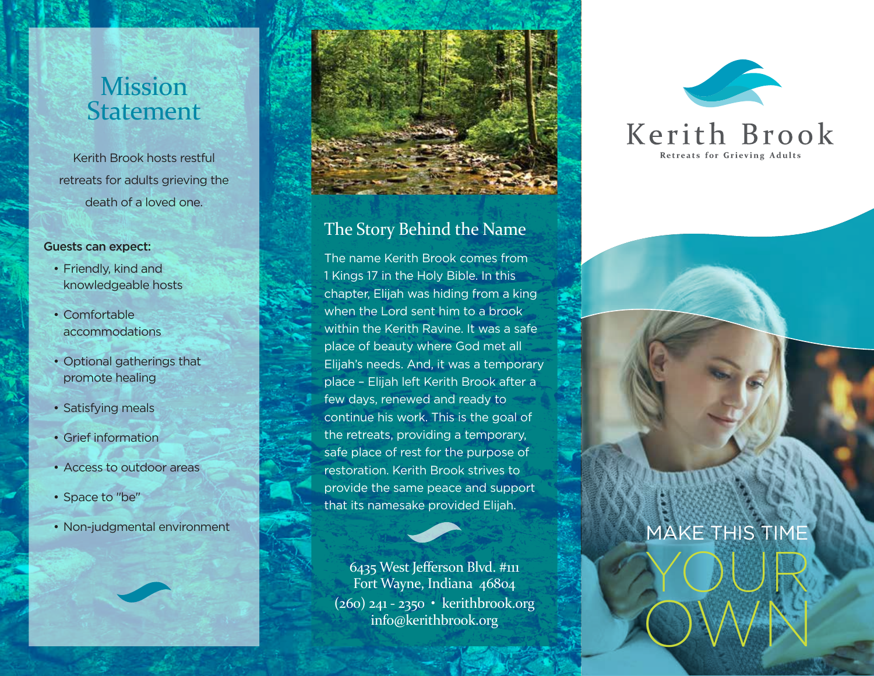# **Mission** Statement

Kerith Brook hosts restful retreats for adults grieving the death of a loved one.

#### Guests can expect:

- Friendly, kind and knowledgeable hosts
- Comfortable accommodations
- Optional gatherings that promote healing
- Satisfying meals
- Grief information
- Access to outdoor areas
- Space to "be"
- Non-judgmental environment



### The Story Behind the Name

The name Kerith Brook comes from 1 Kings 17 in the Holy Bible. In this chapter, Elijah was hiding from a king when the Lord sent him to a brook within the Kerith Ravine. It was a safe place of beauty where God met all Elijah's needs. And, it was a temporary place – Elijah left Kerith Brook after a few days, renewed and ready to continue his work. This is the goal of the retreats, providing a temporary, safe place of rest for the purpose of restoration. Kerith Brook strives to provide the same peace and support that its namesake provided Elijah.

6435 West Jefferson Blvd. #111 Fort Wayne, Indiana 46804 (260) 241 - 2350 • kerithbrook.org info@kerithbrook.org





## MAKE THIS TIME

YOUR

OWN